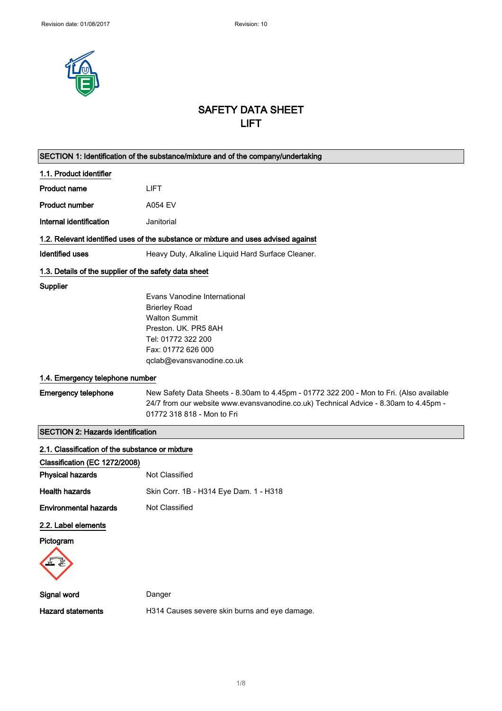

## SAFETY DATA SHEET LIFT

| SECTION 1: Identification of the substance/mixture and of the company/undertaking |                                                                                                                                                                                 |  |
|-----------------------------------------------------------------------------------|---------------------------------------------------------------------------------------------------------------------------------------------------------------------------------|--|
| 1.1. Product identifier                                                           |                                                                                                                                                                                 |  |
| <b>Product name</b>                                                               | <b>LIFT</b>                                                                                                                                                                     |  |
| <b>Product number</b>                                                             | A054 EV                                                                                                                                                                         |  |
| Internal identification                                                           | Janitorial                                                                                                                                                                      |  |
|                                                                                   | 1.2. Relevant identified uses of the substance or mixture and uses advised against                                                                                              |  |
| <b>Identified uses</b>                                                            | Heavy Duty, Alkaline Liquid Hard Surface Cleaner.                                                                                                                               |  |
| 1.3. Details of the supplier of the safety data sheet                             |                                                                                                                                                                                 |  |
| Supplier                                                                          |                                                                                                                                                                                 |  |
|                                                                                   | Evans Vanodine International                                                                                                                                                    |  |
|                                                                                   | <b>Brierley Road</b>                                                                                                                                                            |  |
|                                                                                   | <b>Walton Summit</b>                                                                                                                                                            |  |
|                                                                                   | Preston. UK. PR5 8AH                                                                                                                                                            |  |
|                                                                                   | Tel: 01772 322 200                                                                                                                                                              |  |
|                                                                                   | Fax: 01772 626 000                                                                                                                                                              |  |
|                                                                                   | qclab@evansvanodine.co.uk                                                                                                                                                       |  |
| 1.4. Emergency telephone number                                                   |                                                                                                                                                                                 |  |
| <b>Emergency telephone</b>                                                        | New Safety Data Sheets - 8.30am to 4.45pm - 01772 322 200 - Mon to Fri. (Also available<br>24/7 from our website www.evansvanodine.co.uk) Technical Advice - 8.30am to 4.45pm - |  |
|                                                                                   | 01772 318 818 - Mon to Fri                                                                                                                                                      |  |
| <b>SECTION 2: Hazards identification</b>                                          |                                                                                                                                                                                 |  |
| 2.1. Classification of the substance or mixture                                   |                                                                                                                                                                                 |  |
| Classification (EC 1272/2008)                                                     |                                                                                                                                                                                 |  |
| <b>Physical hazards</b>                                                           | Not Classified                                                                                                                                                                  |  |
| <b>Health hazards</b>                                                             | Skin Corr. 1B - H314 Eye Dam. 1 - H318                                                                                                                                          |  |
| <b>Environmental hazards</b>                                                      | Not Classified                                                                                                                                                                  |  |
| 2.2. Label elements                                                               |                                                                                                                                                                                 |  |
| Pictogram                                                                         |                                                                                                                                                                                 |  |
|                                                                                   |                                                                                                                                                                                 |  |
| Signal word                                                                       | Danger                                                                                                                                                                          |  |
| <b>Hazard statements</b>                                                          | H314 Causes severe skin burns and eye damage.                                                                                                                                   |  |
|                                                                                   |                                                                                                                                                                                 |  |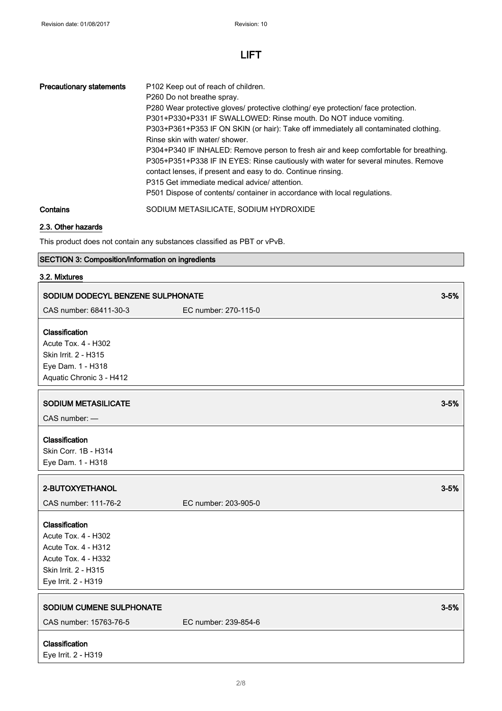| <b>Precautionary statements</b> | P <sub>102</sub> Keep out of reach of children.<br>P260 Do not breathe spray.<br>P280 Wear protective gloves/ protective clothing/ eye protection/ face protection.<br>P301+P330+P331 IF SWALLOWED: Rinse mouth. Do NOT induce vomiting.<br>P303+P361+P353 IF ON SKIN (or hair): Take off immediately all contaminated clothing.<br>Rinse skin with water/ shower.<br>P304+P340 IF INHALED: Remove person to fresh air and keep comfortable for breathing.<br>P305+P351+P338 IF IN EYES: Rinse cautiously with water for several minutes. Remove<br>contact lenses, if present and easy to do. Continue rinsing.<br>P315 Get immediate medical advice/attention.<br>P501 Dispose of contents/ container in accordance with local regulations. |
|---------------------------------|-----------------------------------------------------------------------------------------------------------------------------------------------------------------------------------------------------------------------------------------------------------------------------------------------------------------------------------------------------------------------------------------------------------------------------------------------------------------------------------------------------------------------------------------------------------------------------------------------------------------------------------------------------------------------------------------------------------------------------------------------|
| Contains                        | SODIUM METASILICATE, SODIUM HYDROXIDE                                                                                                                                                                                                                                                                                                                                                                                                                                                                                                                                                                                                                                                                                                         |

## 2.3. Other hazards

This product does not contain any substances classified as PBT or vPvB.

## SECTION 3: Composition/information on ingredients

### 3.2. Mixtures

| SODIUM DODECYL BENZENE SULPHONATE                                                                                                  |                      | $3 - 5%$ |
|------------------------------------------------------------------------------------------------------------------------------------|----------------------|----------|
| CAS number: 68411-30-3                                                                                                             | EC number: 270-115-0 |          |
| Classification<br><b>Acute Tox. 4 - H302</b><br>Skin Irrit. 2 - H315<br>Eye Dam. 1 - H318<br>Aquatic Chronic 3 - H412              |                      |          |
| <b>SODIUM METASILICATE</b><br>CAS number: -                                                                                        |                      | $3 - 5%$ |
| Classification<br>Skin Corr. 1B - H314<br>Eye Dam. 1 - H318                                                                        |                      |          |
| 2-BUTOXYETHANOL                                                                                                                    |                      | $3 - 5%$ |
| CAS number: 111-76-2                                                                                                               | EC number: 203-905-0 |          |
| Classification<br>Acute Tox. 4 - H302<br>Acute Tox. 4 - H312<br>Acute Tox. 4 - H332<br>Skin Irrit. 2 - H315<br>Eye Irrit. 2 - H319 |                      |          |
| SODIUM CUMENE SULPHONATE<br>CAS number: 15763-76-5                                                                                 | EC number: 239-854-6 | $3 - 5%$ |
|                                                                                                                                    |                      |          |
| Classification<br>Eye Irrit. 2 - H319                                                                                              |                      |          |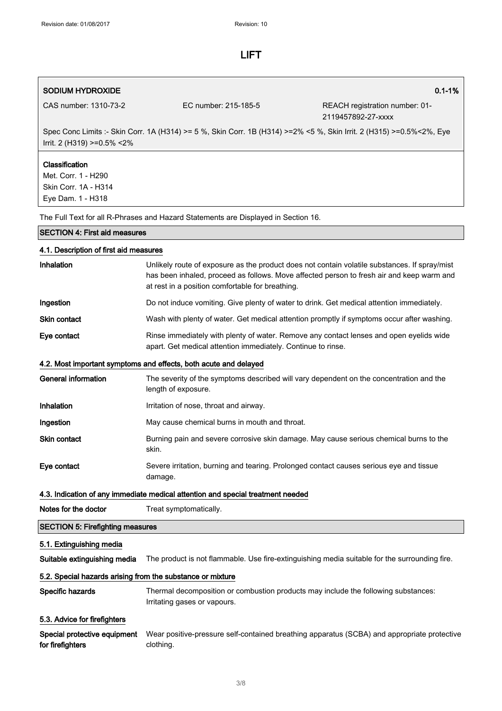## SODIUM HYDROXIDE **1.1-1%** and 2.1-1% and 2.1-1% and 2.1-1% and 2.1-1% and 2.1-1% and 2.1-1% and 2.1-1% and 2.1-1%

CAS number: 1310-73-2 EC number: 215-185-5 REACH registration number: 01- 2119457892-27-xxxx

Spec Conc Limits :- Skin Corr. 1A (H314) >= 5 %, Skin Corr. 1B (H314) >=2% <5 %, Skin Irrit. 2 (H315) >=0.5%<2%, Eye Irrit. 2 (H319) >=0.5% <2%

### **Classification**

Met. Corr. 1 - H290 Skin Corr. 1A - H314 Eye Dam. 1 - H318

The Full Text for all R-Phrases and Hazard Statements are Displayed in Section 16.

#### SECTION 4: First aid measures

| 4.1. Description of first aid measures                     |                                                                                                                                                                                                                                                |  |
|------------------------------------------------------------|------------------------------------------------------------------------------------------------------------------------------------------------------------------------------------------------------------------------------------------------|--|
| Inhalation                                                 | Unlikely route of exposure as the product does not contain volatile substances. If spray/mist<br>has been inhaled, proceed as follows. Move affected person to fresh air and keep warm and<br>at rest in a position comfortable for breathing. |  |
| Ingestion                                                  | Do not induce vomiting. Give plenty of water to drink. Get medical attention immediately.                                                                                                                                                      |  |
| <b>Skin contact</b>                                        | Wash with plenty of water. Get medical attention promptly if symptoms occur after washing.                                                                                                                                                     |  |
| Eye contact                                                | Rinse immediately with plenty of water. Remove any contact lenses and open eyelids wide<br>apart. Get medical attention immediately. Continue to rinse.                                                                                        |  |
|                                                            | 4.2. Most important symptoms and effects, both acute and delayed                                                                                                                                                                               |  |
| <b>General information</b>                                 | The severity of the symptoms described will vary dependent on the concentration and the<br>length of exposure.                                                                                                                                 |  |
| <b>Inhalation</b>                                          | Irritation of nose, throat and airway.                                                                                                                                                                                                         |  |
| Ingestion                                                  | May cause chemical burns in mouth and throat.                                                                                                                                                                                                  |  |
| <b>Skin contact</b>                                        | Burning pain and severe corrosive skin damage. May cause serious chemical burns to the<br>skin.                                                                                                                                                |  |
| Eye contact                                                | Severe irritation, burning and tearing. Prolonged contact causes serious eye and tissue<br>damage.                                                                                                                                             |  |
|                                                            | 4.3. Indication of any immediate medical attention and special treatment needed                                                                                                                                                                |  |
| Notes for the doctor                                       | Treat symptomatically.                                                                                                                                                                                                                         |  |
| <b>SECTION 5: Firefighting measures</b>                    |                                                                                                                                                                                                                                                |  |
| 5.1. Extinguishing media                                   |                                                                                                                                                                                                                                                |  |
| Suitable extinguishing media                               | The product is not flammable. Use fire-extinguishing media suitable for the surrounding fire.                                                                                                                                                  |  |
| 5.2. Special hazards arising from the substance or mixture |                                                                                                                                                                                                                                                |  |
| Specific hazards                                           | Thermal decomposition or combustion products may include the following substances:<br>Irritating gases or vapours.                                                                                                                             |  |
| 5.3. Advice for firefighters                               |                                                                                                                                                                                                                                                |  |
| Special protective equipment<br>for firefighters           | Wear positive-pressure self-contained breathing apparatus (SCBA) and appropriate protective<br>clothing.                                                                                                                                       |  |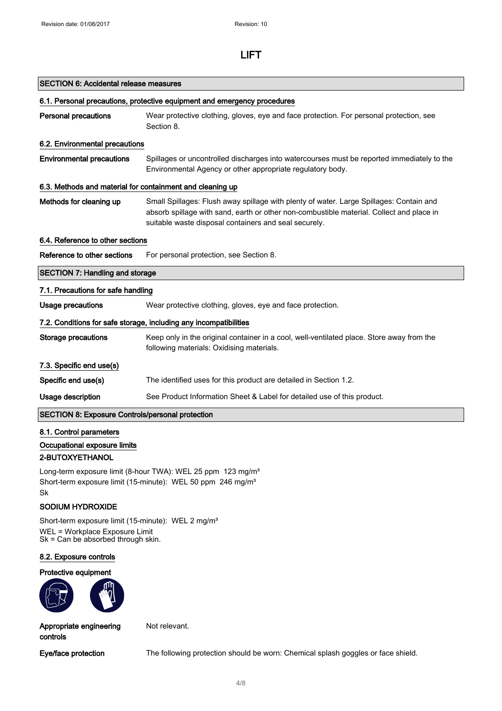| <b>SECTION 6: Accidental release measures</b> |  |  |  |
|-----------------------------------------------|--|--|--|
|-----------------------------------------------|--|--|--|

| 6.1. Personal precautions, protective equipment and emergency procedures |                                                                                                                                                                                                                                              |  |
|--------------------------------------------------------------------------|----------------------------------------------------------------------------------------------------------------------------------------------------------------------------------------------------------------------------------------------|--|
| <b>Personal precautions</b>                                              | Wear protective clothing, gloves, eye and face protection. For personal protection, see<br>Section 8.                                                                                                                                        |  |
| 6.2. Environmental precautions                                           |                                                                                                                                                                                                                                              |  |
| <b>Environmental precautions</b>                                         | Spillages or uncontrolled discharges into watercourses must be reported immediately to the<br>Environmental Agency or other appropriate regulatory body.                                                                                     |  |
| 6.3. Methods and material for containment and cleaning up                |                                                                                                                                                                                                                                              |  |
| Methods for cleaning up                                                  | Small Spillages: Flush away spillage with plenty of water. Large Spillages: Contain and<br>absorb spillage with sand, earth or other non-combustible material. Collect and place in<br>suitable waste disposal containers and seal securely. |  |
| 6.4. Reference to other sections                                         |                                                                                                                                                                                                                                              |  |
| Reference to other sections                                              | For personal protection, see Section 8.                                                                                                                                                                                                      |  |
| <b>SECTION 7: Handling and storage</b>                                   |                                                                                                                                                                                                                                              |  |
| 7.1. Precautions for safe handling                                       |                                                                                                                                                                                                                                              |  |
| Usage precautions                                                        | Wear protective clothing, gloves, eye and face protection.                                                                                                                                                                                   |  |
|                                                                          | 7.2. Conditions for safe storage, including any incompatibilities                                                                                                                                                                            |  |
| <b>Storage precautions</b>                                               | Keep only in the original container in a cool, well-ventilated place. Store away from the<br>following materials: Oxidising materials.                                                                                                       |  |
| 7.3. Specific end use(s)                                                 |                                                                                                                                                                                                                                              |  |
| Specific end use(s)                                                      | The identified uses for this product are detailed in Section 1.2.                                                                                                                                                                            |  |
| Usage description                                                        | See Product Information Sheet & Label for detailed use of this product.                                                                                                                                                                      |  |
| <b>SECTION 8: Exposure Controls/personal protection</b>                  |                                                                                                                                                                                                                                              |  |

## 8.1. Control parameters Occupational exposure limits

### 2-BUTOXYETHANOL

Long-term exposure limit (8-hour TWA): WEL 25 ppm 123 mg/m<sup>3</sup> Short-term exposure limit (15-minute): WEL 50 ppm 246 mg/m<sup>3</sup> Sk

### SODIUM HYDROXIDE

Short-term exposure limit (15-minute): WEL 2 mg/m<sup>3</sup> WEL = Workplace Exposure Limit Sk = Can be absorbed through skin.

#### 8.2. Exposure controls

#### Protective equipment



Appropriate engineering controls

Not relevant.

Eye/face protection The following protection should be worn: Chemical splash goggles or face shield.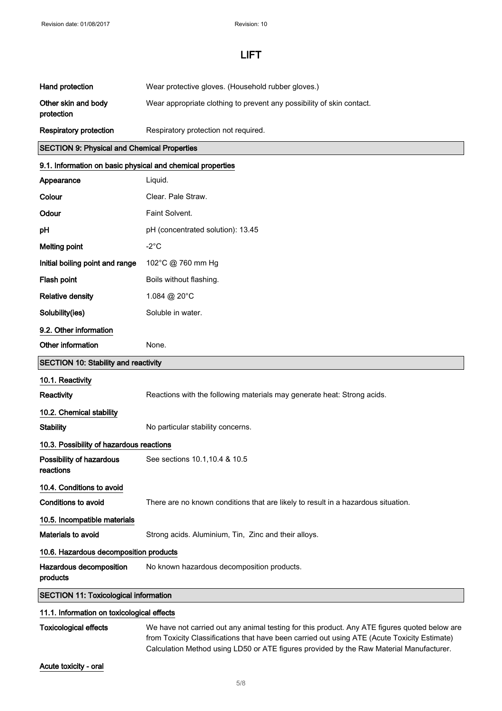| Hand protection                   | Wear protective gloves. (Household rubber gloves.)                    |
|-----------------------------------|-----------------------------------------------------------------------|
| Other skin and body<br>protection | Wear appropriate clothing to prevent any possibility of skin contact. |
| <b>Respiratory protection</b>     | Respiratory protection not required.                                  |

#### SECTION 9: Physical and Chemical Properties

# 9.1. Information on basic physical and chemical properties Appearance Liquid. Colour Clear. Pale Straw. Odour Faint Solvent. **pH** pH (concentrated solution): 13.45 Melting point  $-2^{\circ}$ C Initial boiling point and range 102°C @ 760 mm Hg Flash point **Boils** without flashing. Relative density 1.084 @ 20°C Solubility(ies) Soluble in water. 9.2. Other information Other information None. SECTION 10: Stability and reactivity 10.1. Reactivity Reactivity Reactions with the following materials may generate heat: Strong acids. 10.2. Chemical stability Stability Mo particular stability concerns. 10.3. Possibility of hazardous reactions Possibility of hazardous reactions See sections 10.1,10.4 & 10.5 10.4. Conditions to avoid Conditions to avoid There are no known conditions that are likely to result in a hazardous situation. 10.5. Incompatible materials Materials to avoid Strong acids. Aluminium, Tin, Zinc and their alloys. 10.6. Hazardous decomposition products Hazardous decomposition No known hazardous decomposition products.

products

SECTION 11: Toxicological information

#### 11.1. Information on toxicological effects

Toxicological effects We have not carried out any animal testing for this product. Any ATE figures quoted below are from Toxicity Classifications that have been carried out using ATE (Acute Toxicity Estimate) Calculation Method using LD50 or ATE figures provided by the Raw Material Manufacturer.

Acute toxicity - oral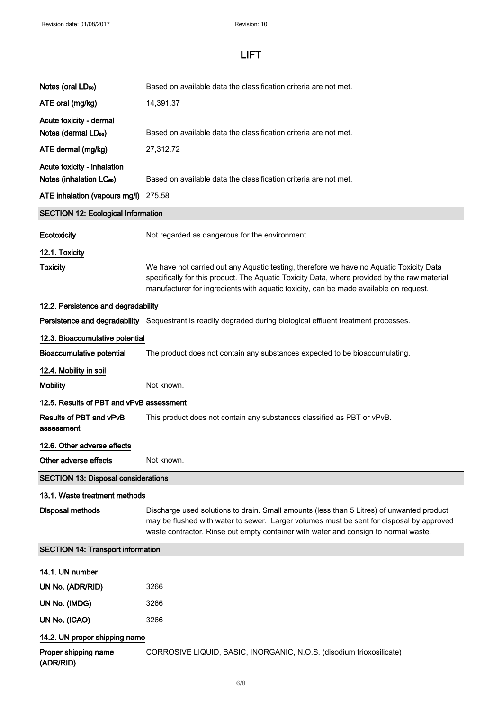| Notes (oral $LD_{50}$ )                    | Based on available data the classification criteria are not met.                                                                                                                                                                                                                 |
|--------------------------------------------|----------------------------------------------------------------------------------------------------------------------------------------------------------------------------------------------------------------------------------------------------------------------------------|
| ATE oral (mg/kg)                           | 14,391.37                                                                                                                                                                                                                                                                        |
| Acute toxicity - dermal                    |                                                                                                                                                                                                                                                                                  |
| Notes (dermal LD <sub>50</sub> )           | Based on available data the classification criteria are not met.                                                                                                                                                                                                                 |
| ATE dermal (mg/kg)                         | 27,312.72                                                                                                                                                                                                                                                                        |
| Acute toxicity - inhalation                |                                                                                                                                                                                                                                                                                  |
| Notes (inhalation LC <sub>50</sub> )       | Based on available data the classification criteria are not met.                                                                                                                                                                                                                 |
| ATE inhalation (vapours mg/l) 275.58       |                                                                                                                                                                                                                                                                                  |
| <b>SECTION 12: Ecological Information</b>  |                                                                                                                                                                                                                                                                                  |
| Ecotoxicity                                | Not regarded as dangerous for the environment.                                                                                                                                                                                                                                   |
| 12.1. Toxicity                             |                                                                                                                                                                                                                                                                                  |
| <b>Toxicity</b>                            | We have not carried out any Aquatic testing, therefore we have no Aquatic Toxicity Data<br>specifically for this product. The Aquatic Toxicity Data, where provided by the raw material<br>manufacturer for ingredients with aquatic toxicity, can be made available on request. |
| 12.2. Persistence and degradability        |                                                                                                                                                                                                                                                                                  |
|                                            | Persistence and degradability Sequestrant is readily degraded during biological effluent treatment processes.                                                                                                                                                                    |
| 12.3. Bioaccumulative potential            |                                                                                                                                                                                                                                                                                  |
| <b>Bioaccumulative potential</b>           | The product does not contain any substances expected to be bioaccumulating.                                                                                                                                                                                                      |
| 12.4. Mobility in soil                     |                                                                                                                                                                                                                                                                                  |
|                                            | Not known.                                                                                                                                                                                                                                                                       |
| <b>Mobility</b>                            |                                                                                                                                                                                                                                                                                  |
| 12.5. Results of PBT and vPvB assessment   |                                                                                                                                                                                                                                                                                  |
| Results of PBT and vPvB<br>assessment      | This product does not contain any substances classified as PBT or vPvB.                                                                                                                                                                                                          |
| 12.6. Other adverse effects                |                                                                                                                                                                                                                                                                                  |
| Other adverse effects                      | Not known.                                                                                                                                                                                                                                                                       |
| <b>SECTION 13: Disposal considerations</b> |                                                                                                                                                                                                                                                                                  |
| 13.1. Waste treatment methods              |                                                                                                                                                                                                                                                                                  |
| <b>Disposal methods</b>                    | Discharge used solutions to drain. Small amounts (less than 5 Litres) of unwanted product<br>may be flushed with water to sewer. Larger volumes must be sent for disposal by approved<br>waste contractor. Rinse out empty container with water and consign to normal waste.     |
| <b>SECTION 14: Transport information</b>   |                                                                                                                                                                                                                                                                                  |
| 14.1. UN number                            |                                                                                                                                                                                                                                                                                  |
| UN No. (ADR/RID)                           | 3266                                                                                                                                                                                                                                                                             |
| UN No. (IMDG)                              | 3266                                                                                                                                                                                                                                                                             |
| UN No. (ICAO)                              | 3266                                                                                                                                                                                                                                                                             |
| 14.2. UN proper shipping name              |                                                                                                                                                                                                                                                                                  |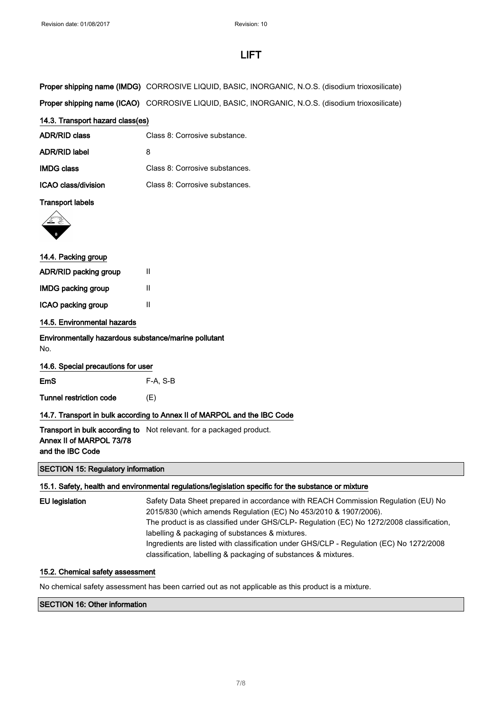| Proper shipping name (IMDG) CORROSIVE LIQUID, BASIC, INORGANIC, N.O.S. (disodium trioxosilicate) |
|--------------------------------------------------------------------------------------------------|
|                                                                                                  |

Proper shipping name (ICAO) CORROSIVE LIQUID, BASIC, INORGANIC, N.O.S. (disodium trioxosilicate)

#### 14.3. Transport hazard class(es)

| ADR/RID class       | Class 8: Corrosive substance.  |
|---------------------|--------------------------------|
| ADR/RID label       | 8                              |
| <b>IMDG class</b>   | Class 8: Corrosive substances. |
| ICAO class/division | Class 8: Corrosive substances. |

### Transport labels



# 14.4. Packing group ADR/RID packing group II IMDG packing group II ICAO packing group II 14.5. Environmental hazards

Environmentally hazardous substance/marine pollutant No.

## 14.6. Special precautions for user

EmS F-A, S-B

Tunnel restriction code (E)

### 14.7. Transport in bulk according to Annex II of MARPOL and the IBC Code

**Transport in bulk according to** Not relevant. for a packaged product. Annex II of MARPOL 73/78 and the IBC Code

SECTION 15: Regulatory information

### 15.1. Safety, health and environmental regulations/legislation specific for the substance or mixture

| EU legislation | Safety Data Sheet prepared in accordance with REACH Commission Regulation (EU) No        |
|----------------|------------------------------------------------------------------------------------------|
|                | 2015/830 (which amends Regulation (EC) No 453/2010 & 1907/2006).                         |
|                | The product is as classified under GHS/CLP- Regulation (EC) No 1272/2008 classification. |
|                | labelling & packaging of substances & mixtures.                                          |
|                | Ingredients are listed with classification under GHS/CLP - Regulation (EC) No 1272/2008  |
|                | classification, labelling & packaging of substances & mixtures.                          |

#### 15.2. Chemical safety assessment

No chemical safety assessment has been carried out as not applicable as this product is a mixture.

#### SECTION 16: Other information